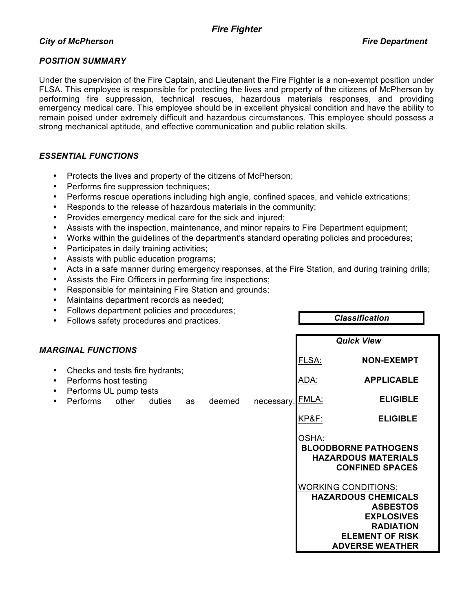## *City of McPherson Fire Department*

## *POSITION SUMMARY*

Under the supervision of the Fire Captain, and Lieutenant the Fire Fighter is a non-exempt position under FLSA. This employee is responsible for protecting the lives and property of the citizens of McPherson by performing fire suppression, technical rescues, hazardous materials responses, and providing emergency medical care. This employee should be in excellent physical condition and have the ability to remain poised under extremely difficult and hazardous circumstances. This employee should possess a strong mechanical aptitude, and effective communication and public relation skills.

## *ESSENTIAL FUNCTIONS*

- Protects the lives and property of the citizens of McPherson;
- Performs fire suppression techniques;
- Performs rescue operations including high angle, confined spaces, and vehicle extrications;
- Responds to the release of hazardous materials in the community;
- Provides emergency medical care for the sick and injured;
- Assists with the inspection, maintenance, and minor repairs to Fire Department equipment;
- Works within the guidelines of the department's standard operating policies and procedures;
- Participates in daily training activities;
- Assists with public education programs;
- Acts in a safe manner during emergency responses, at the Fire Station, and during training drills;
- Assists the Fire Officers in performing fire inspections;
- Responsible for maintaining Fire Station and grounds;
- Maintains department records as needed;
- Follows department policies and procedures;
- Follows safety procedures and practices.

*Classification* 

|                                                                                                                                             |        |           |        |            | <b>Quick View</b>                        |                                                                                                                                                                                                                                                                 |  |  |
|---------------------------------------------------------------------------------------------------------------------------------------------|--------|-----------|--------|------------|------------------------------------------|-----------------------------------------------------------------------------------------------------------------------------------------------------------------------------------------------------------------------------------------------------------------|--|--|
| <b>MARGINAL FUNCTIONS</b><br>Checks and tests fire hydrants;<br>Performs host testing<br>Performs UL pump tests<br><b>Performs</b><br>other | duties | <b>as</b> | deemed | necessary. | FLSA:<br>ADA:<br>FMLA:<br>KP&F:<br>OSHA: | <b>NON-EXEMPT</b><br><b>APPLICABLE</b><br><b>ELIGIBLE</b><br><b>ELIGIBLE</b>                                                                                                                                                                                    |  |  |
|                                                                                                                                             |        |           |        |            |                                          | <b>BLOODBORNE PATHOGENS</b><br><b>HAZARDOUS MATERIALS</b><br><b>CONFINED SPACES</b><br><b>WORKING CONDITIONS:</b><br><b>HAZARDOUS CHEMICALS</b><br><b>ASBESTOS</b><br><b>EXPLOSIVES</b><br><b>RADIATION</b><br><b>ELEMENT OF RISK</b><br><b>ADVERSE WEATHER</b> |  |  |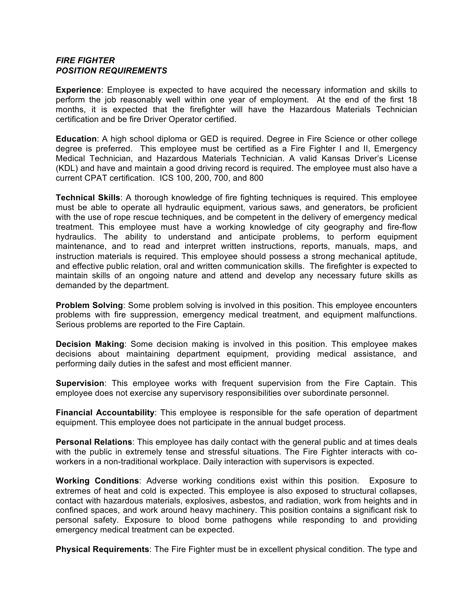## *FIRE FIGHTER POSITION REQUIREMENTS*

**Experience**: Employee is expected to have acquired the necessary information and skills to perform the job reasonably well within one year of employment. At the end of the first 18 months, it is expected that the firefighter will have the Hazardous Materials Technician certification and be fire Driver Operator certified.

**Education**: A high school diploma or GED is required. Degree in Fire Science or other college degree is preferred. This employee must be certified as a Fire Fighter I and II, Emergency Medical Technician, and Hazardous Materials Technician. A valid Kansas Driver's License (KDL) and have and maintain a good driving record is required. The employee must also have a current CPAT certification. ICS 100, 200, 700, and 800

**Technical Skills**: A thorough knowledge of fire fighting techniques is required. This employee must be able to operate all hydraulic equipment, various saws, and generators, be proficient with the use of rope rescue techniques, and be competent in the delivery of emergency medical treatment. This employee must have a working knowledge of city geography and fire-flow hydraulics. The ability to understand and anticipate problems, to perform equipment maintenance, and to read and interpret written instructions, reports, manuals, maps, and instruction materials is required. This employee should possess a strong mechanical aptitude, and effective public relation, oral and written communication skills. The firefighter is expected to maintain skills of an ongoing nature and attend and develop any necessary future skills as demanded by the department.

**Problem Solving**: Some problem solving is involved in this position. This employee encounters problems with fire suppression, emergency medical treatment, and equipment malfunctions. Serious problems are reported to the Fire Captain.

**Decision Making**: Some decision making is involved in this position. This employee makes decisions about maintaining department equipment, providing medical assistance, and performing daily duties in the safest and most efficient manner.

**Supervision**: This employee works with frequent supervision from the Fire Captain. This employee does not exercise any supervisory responsibilities over subordinate personnel.

**Financial Accountability**: This employee is responsible for the safe operation of department equipment. This employee does not participate in the annual budget process.

**Personal Relations**: This employee has daily contact with the general public and at times deals with the public in extremely tense and stressful situations. The Fire Fighter interacts with coworkers in a non-traditional workplace. Daily interaction with supervisors is expected.

**Working Conditions**: Adverse working conditions exist within this position. Exposure to extremes of heat and cold is expected. This employee is also exposed to structural collapses, contact with hazardous materials, explosives, asbestos, and radiation, work from heights and in confined spaces, and work around heavy machinery. This position contains a significant risk to personal safety. Exposure to blood borne pathogens while responding to and providing emergency medical treatment can be expected.

**Physical Requirements**: The Fire Fighter must be in excellent physical condition. The type and